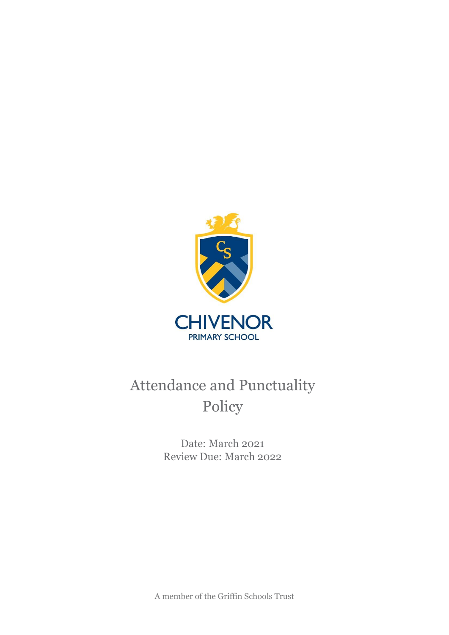

Date: March 2021 Review Due: March 2022

A member of the Griffin Schools Trust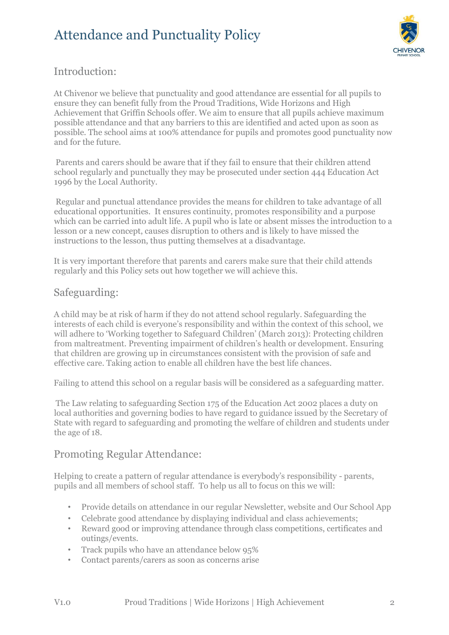

## Introduction:

At Chivenor we believe that punctuality and good attendance are essential for all pupils to ensure they can benefit fully from the Proud Traditions, Wide Horizons and High Achievement that Griffin Schools offer. We aim to ensure that all pupils achieve maximum possible attendance and that any barriers to this are identified and acted upon as soon as possible. The school aims at 100% attendance for pupils and promotes good punctuality now and for the future.

Parents and carers should be aware that if they fail to ensure that their children attend school regularly and punctually they may be prosecuted under section 444 Education Act 1996 by the Local Authority.

Regular and punctual attendance provides the means for children to take advantage of all educational opportunities. It ensures continuity, promotes responsibility and a purpose which can be carried into adult life. A pupil who is late or absent misses the introduction to a lesson or a new concept, causes disruption to others and is likely to have missed the instructions to the lesson, thus putting themselves at a disadvantage.

It is very important therefore that parents and carers make sure that their child attends regularly and this Policy sets out how together we will achieve this.

### Safeguarding:

A child may be at risk of harm if they do not attend school regularly. Safeguarding the interests of each child is everyone's responsibility and within the context of this school, we will adhere to 'Working together to Safeguard Children' (March 2013): Protecting children from maltreatment. Preventing impairment of children's health or development. Ensuring that children are growing up in circumstances consistent with the provision of safe and effective care. Taking action to enable all children have the best life chances.

Failing to attend this school on a regular basis will be considered as a safeguarding matter.

The Law relating to safeguarding Section 175 of the Education Act 2002 places a duty on local authorities and governing bodies to have regard to guidance issued by the Secretary of State with regard to safeguarding and promoting the welfare of children and students under the age of 18.

#### Promoting Regular Attendance:

Helping to create a pattern of regular attendance is everybody's responsibility - parents, pupils and all members of school staff. To help us all to focus on this we will:

- Provide details on attendance in our regular Newsletter, website and Our School App
- Celebrate good attendance by displaying individual and class achievements;
- Reward good or improving attendance through class competitions, certificates and outings/events.
- Track pupils who have an attendance below 95%
- Contact parents/carers as soon as concerns arise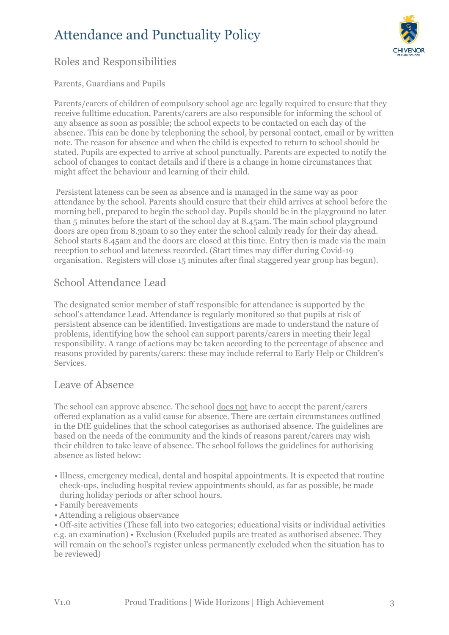

# Roles and Responsibilities

#### Parents, Guardians and Pupils

Parents/carers of children of compulsory school age are legally required to ensure that they receive fulltime education. Parents/carers are also responsible for informing the school of any absence as soon as possible; the school expects to be contacted on each day of the absence. This can be done by telephoning the school, by personal contact, email or by written note. The reason for absence and when the child is expected to return to school should be stated. Pupils are expected to arrive at school punctually. Parents are expected to notify the school of changes to contact details and if there is a change in home circumstances that might affect the behaviour and learning of their child.

Persistent lateness can be seen as absence and is managed in the same way as poor attendance by the school. Parents should ensure that their child arrives at school before the morning bell, prepared to begin the school day. Pupils should be in the playground no later than 5 minutes before the start of the school day at 8.45am. The main school playground doors are open from 8.30am to so they enter the school calmly ready for their day ahead. School starts 8.45am and the doors are closed at this time. Entry then is made via the main reception to school and lateness recorded. (Start times may differ during Covid-19 organisation. Registers will close 15 minutes after final staggered year group has begun).

### School Attendance Lead

The designated senior member of staff responsible for attendance is supported by the school's attendance Lead. Attendance is regularly monitored so that pupils at risk of persistent absence can be identified. Investigations are made to understand the nature of problems, identifying how the school can support parents/carers in meeting their legal responsibility. A range of actions may be taken according to the percentage of absence and reasons provided by parents/carers: these may include referral to Early Help or Children's Services.

#### Leave of Absence

The school can approve absence. The school does not have to accept the parent/carers offered explanation as a valid cause for absence. There are certain circumstances outlined in the DfE guidelines that the school categorises as authorised absence. The guidelines are based on the needs of the community and the kinds of reasons parent/carers may wish their children to take leave of absence. The school follows the guidelines for authorising absence as listed below:

- Illness, emergency medical, dental and hospital appointments. It is expected that routine check-ups, including hospital review appointments should, as far as possible, be made during holiday periods or after school hours.
- Family bereavements
- Attending a religious observance

• Off-site activities (These fall into two categories; educational visits or individual activities e.g. an examination) • Exclusion (Excluded pupils are treated as authorised absence. They will remain on the school's register unless permanently excluded when the situation has to be reviewed)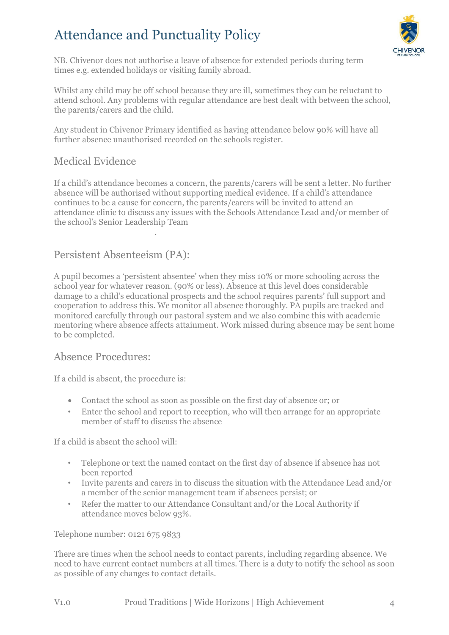

NB. Chivenor does not authorise a leave of absence for extended periods during term times e.g. extended holidays or visiting family abroad.

Whilst any child may be off school because they are ill, sometimes they can be reluctant to attend school. Any problems with regular attendance are best dealt with between the school, the parents/carers and the child.

Any student in Chivenor Primary identified as having attendance below 90% will have all further absence unauthorised recorded on the schools register.

### Medical Evidence

If a child's attendance becomes a concern, the parents/carers will be sent a letter. No further absence will be authorised without supporting medical evidence. If a child's attendance continues to be a cause for concern, the parents/carers will be invited to attend an attendance clinic to discuss any issues with the Schools Attendance Lead and/or member of the school's Senior Leadership Team

## Persistent Absenteeism (PA):

.

A pupil becomes a 'persistent absentee' when they miss 10% or more schooling across the school year for whatever reason. (90% or less). Absence at this level does considerable damage to a child's educational prospects and the school requires parents' full support and cooperation to address this. We monitor all absence thoroughly. PA pupils are tracked and monitored carefully through our pastoral system and we also combine this with academic mentoring where absence affects attainment. Work missed during absence may be sent home to be completed.

### Absence Procedures:

If a child is absent, the procedure is:

- Contact the school as soon as possible on the first day of absence or; or
- Enter the school and report to reception, who will then arrange for an appropriate member of staff to discuss the absence

If a child is absent the school will:

- Telephone or text the named contact on the first day of absence if absence has not been reported
- Invite parents and carers in to discuss the situation with the Attendance Lead and/or a member of the senior management team if absences persist; or
- Refer the matter to our Attendance Consultant and/or the Local Authority if attendance moves below 93%.

Telephone number: 0121 675 9833

There are times when the school needs to contact parents, including regarding absence. We need to have current contact numbers at all times. There is a duty to notify the school as soon as possible of any changes to contact details.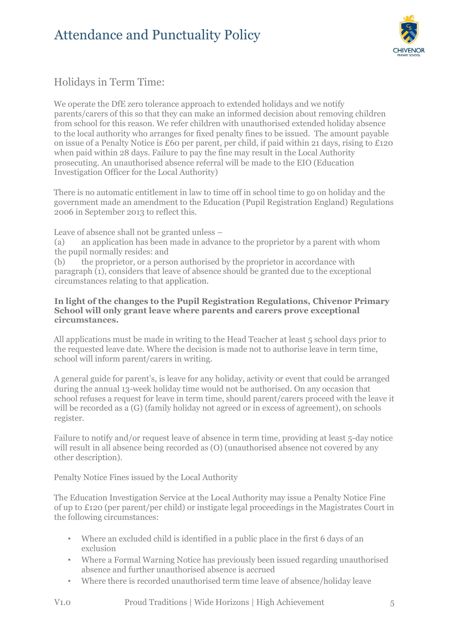

# Holidays in Term Time:

We operate the DfE zero tolerance approach to extended holidays and we notify parents/carers of this so that they can make an informed decision about removing children from school for this reason. We refer children with unauthorised extended holiday absence to the local authority who arranges for fixed penalty fines to be issued. The amount payable on issue of a Penalty Notice is £60 per parent, per child, if paid within 21 days, rising to £120 when paid within 28 days. Failure to pay the fine may result in the Local Authority prosecuting. An unauthorised absence referral will be made to the EIO (Education Investigation Officer for the Local Authority)

There is no automatic entitlement in law to time off in school time to go on holiday and the government made an amendment to the Education (Pupil Registration England) Regulations 2006 in September 2013 to reflect this.

Leave of absence shall not be granted unless –

(a) an application has been made in advance to the proprietor by a parent with whom the pupil normally resides: and

(b) the proprietor, or a person authorised by the proprietor in accordance with paragraph (1), considers that leave of absence should be granted due to the exceptional circumstances relating to that application.

#### **In light of the changes to the Pupil Registration Regulations, Chivenor Primary School will only grant leave where parents and carers prove exceptional circumstances.**

All applications must be made in writing to the Head Teacher at least 5 school days prior to the requested leave date. Where the decision is made not to authorise leave in term time, school will inform parent/carers in writing.

A general guide for parent's, is leave for any holiday, activity or event that could be arranged during the annual 13-week holiday time would not be authorised. On any occasion that school refuses a request for leave in term time, should parent/carers proceed with the leave it will be recorded as a (G) (family holiday not agreed or in excess of agreement), on schools register.

Failure to notify and/or request leave of absence in term time, providing at least 5-day notice will result in all absence being recorded as (O) (unauthorised absence not covered by any other description).

Penalty Notice Fines issued by the Local Authority

The Education Investigation Service at the Local Authority may issue a Penalty Notice Fine of up to £120 (per parent/per child) or instigate legal proceedings in the Magistrates Court in the following circumstances:

- Where an excluded child is identified in a public place in the first 6 days of an exclusion
- Where a Formal Warning Notice has previously been issued regarding unauthorised absence and further unauthorised absence is accrued
- Where there is recorded unauthorised term time leave of absence/holiday leave